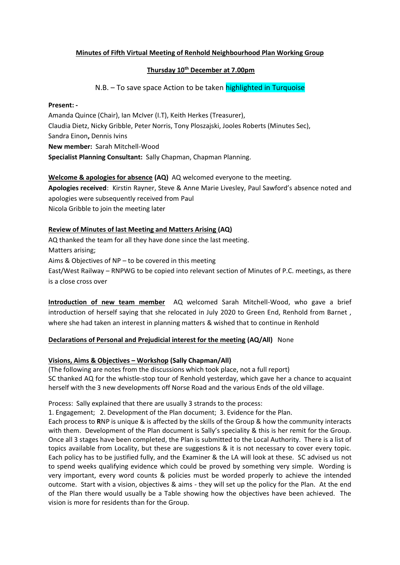## **Minutes of Fifth Virtual Meeting of Renhold Neighbourhood Plan Working Group**

## **Thursday 10th December at 7.00pm**

N.B. – To save space Action to be taken highlighted in Turquoise

#### **Present: -**

Amanda Quince (Chair), Ian McIver (I.T), Keith Herkes (Treasurer), Claudia Dietz, Nicky Gribble, Peter Norris, Tony Ploszajski, Jooles Roberts (Minutes Sec), Sandra Einon**,** Dennis Ivins **New member:** Sarah Mitchell-Wood **Specialist Planning Consultant:** Sally Chapman, Chapman Planning.

## **Welcome & apologies for absence (AQ)** AQ welcomed everyone to the meeting.

**Apologies received**: Kirstin Rayner, Steve & Anne Marie Livesley, Paul Sawford's absence noted and apologies were subsequently received from Paul Nicola Gribble to join the meeting later

### **Review of Minutes of last Meeting and Matters Arising (AQ)**

AQ thanked the team for all they have done since the last meeting. Matters arising; Aims & Objectives of NP – to be covered in this meeting East/West Railway – RNPWG to be copied into relevant section of Minutes of P.C. meetings, as there is a close cross over

**Introduction of new team member** AQ welcomed Sarah Mitchell-Wood, who gave a brief introduction of herself saying that she relocated in July 2020 to Green End, Renhold from Barnet , where she had taken an interest in planning matters & wished that to continue in Renhold

# **Declarations of Personal and Prejudicial interest for the meeting (AQ/All)** None

### **Visions, Aims & Objectives – Workshop (Sally Chapman/All)**

(The following are notes from the discussions which took place, not a full report) SC thanked AQ for the whistle-stop tour of Renhold yesterday, which gave her a chance to acquaint herself with the 3 new developments off Norse Road and the various Ends of the old village.

Process: Sally explained that there are usually 3 strands to the process:

1. Engagement; 2. Development of the Plan document; 3. Evidence for the Plan.

Each process to **R**NP is unique & is affected by the skills of the Group & how the community interacts with them. Development of the Plan document is Sally's speciality & this is her remit for the Group. Once all 3 stages have been completed, the Plan is submitted to the Local Authority. There is a list of topics available from Locality, but these are suggestions & it is not necessary to cover every topic. Each policy has to be justified fully, and the Examiner & the LA will look at these. SC advised us not to spend weeks qualifying evidence which could be proved by something very simple. Wording is very important, every word counts & policies must be worded properly to achieve the intended outcome. Start with a vision, objectives & aims - they will set up the policy for the Plan. At the end of the Plan there would usually be a Table showing how the objectives have been achieved. The vision is more for residents than for the Group.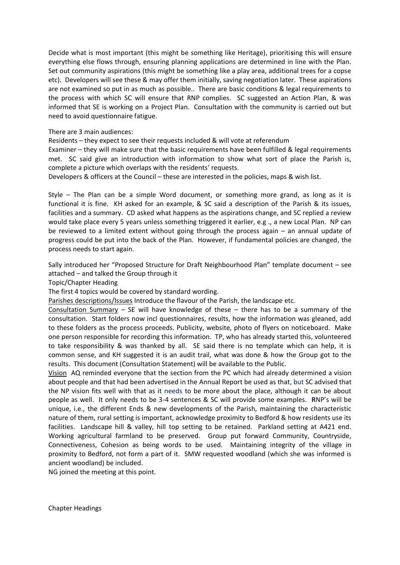Decide what is most important (this might be something like Heritage), prioriti**s**ing this will ensure everything else flows through, ensuring planning applications are determined in line with the Plan. Set out community aspirations (this might be something like a play area, additional trees for a copse etc). Developers will see these & may offer them initially, saving negotiation later. These aspirations are not examined so put in as much as possible.. There are basic conditions & legal requirements to the process with which SC will ensure that RNP complies. SC suggested an Action Plan, & was informed that SE is working on a Project Plan. Consultation with the community is carried out but need to avoid questionnaire fatigue.

#### There are 3 main audiences:

Residents – they expect to see their requests included & will vote at referendum

Examiner – they will make sure that the basic requirements have been fulfilled & legal requirements met. SC said give an introduction with information to show what sort of place the Parish is, complete a picture which overlaps with the residents' requests.

Developers & officers at the Council – these are interested in the policies, maps & wish list.

Style – The Plan can be a simple Word document, or something more grand, as long as it is functional it is fine. KH asked for an example, & SC said a description of the Parish & its issues, facilities and a summary. CD asked what happens as the aspirations change, and SC replied a review would take place every 5 years unless something triggered it earlier, e.g., a new Local Plan. NP can be reviewed to a limited extent without going through the process again – an annual update of progress could be put into the back of the Plan. However, if fundamental policies are changed, the process needs to start again.

Sally introduced her "Proposed Structure for Draft Neighbourhood Plan" template document – see attached – and talked the Group through it

Topic/Chapter Heading

The first 4 topics would be covered by standard wording.

Parishes descriptions/Issues Introduce the flavour of the Parish, the landscape etc.

Consultation Summary – SE will have knowledge of these – there has to be a summary of the consultation. Start folders now incl questionnaires, results, how the information was gleaned, add to these folders as the process proceeds. Publicity, website, photo of flyers on noticeboard. Make one person responsible for recording this information. TP, who has already started this, volunteered to take responsibility & was thanked by all. SE said there is no template which can help, it is common sense, and KH suggested it is an audit trail, what was done & how the Group got to the results. This document (Consultation Statement) will be available to the Public.

Vision AQ reminded everyone that the section from the PC which had already determined a vision about people and that had been advertised in the Annual Report be used as that, but SC advised that the NP vision fits well with that as it needs to be more about the place, although it can be about people as well. It only needs to be 3-4 sentences & SC will provide some examples. **R**NP's will be unique, i.e., the different Ends & new developments of the Parish, maintaining the characteristic nature of them, rural setting is important, acknowledge proximity to Bedford & how residents use its facilities. Landscape hill & valley, hill top setting to be retained. Parkland setting at A421 end. Working agricultural farmland to be preserved. Group put forward Community, Countryside, Connectiveness, Cohesion as being words to be used. Maintaining integrity of the village in proximity to Bedford, not form a part of it. SMW requested woodland (which she was informed is ancient woodland) be included.

NG joined the meeting at this point.

Chapter Headings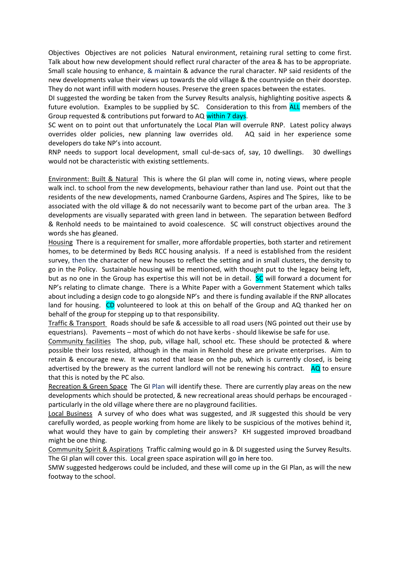Objectives Objectives are not policies Natural environment, retaining rural setting to come first. Talk about how new development should reflect rural character of the area & has to be appropriate. Small scale housing to enhance, & maintain & advance the rural character. NP said residents of the new developments value their views up towards the old village & the countryside on their doorstep. They do not want infill with modern houses. Preserve the green spaces between the estates.

DI suggested the wording be taken from the Survey Results analysis, highlighting positive aspects & future evolution. Examples to be supplied by SC. Consideration to this from **ALL** members of the Group requested & contributions put forward to AQ within 7 days.

SC went on to point out that unfortunately the Local Plan will overrule RNP. Latest policy always overrides older policies, new planning law overrides old. AQ said in her experience some developers do take NP's into account.

RNP needs to support local development, small cul-de-sacs of, say, 10 dwellings. 30 dwellings would not be characteristic with existing settlements.

Environment: Built & Natural This is where the GI plan will come in, noting views, where people walk incl. to school from the new developments, behaviour rather than land use. Point out that the residents of the new developments, named Cranbourne Gardens, Aspires and The Spires, like to be associated with the old village & do not necessarily want to become part of the urban area. The 3 developments are visually separated with green land in between. The separation between Bedford & Renhold needs to be maintained to avoid coalescence. SC will construct objectives around the words she has gleaned.

Housing There is a requirement for smaller, more affordable properties, both starter and retirement homes, to be determined by Beds RCC housing analysis. If a need is established from the resident survey, then the character of new houses to reflect the setting and in small clusters, the density to go in the Policy. Sustainable housing will be mentioned, with thought put to the legacy being left, but as no one in the Group has expertise this will not be in detail. SC will forward a document for NP's relating to climate change. There is a White Paper with a Government Statement which talks about including a design code to go alongside NP's and there is funding available if the RNP allocates land for housing. CD volunteered to look at this on behalf of the Group and AQ thanked her on behalf of the group for stepping up to that responsibility.

Traffic & Transport Roads should be safe & accessible to all road users (NG pointed out their use by equestrians). Pavements – most of which do not have kerbs - should likewise be safe for use.

Community facilities The shop, pub, village hall, school etc. These should be protected & where possible their loss resisted, although in the main in Renhold these are private enterprises. Aim to retain & encourage new. It was noted that lease on the pub, which is currently closed, is being advertised by the brewery as the current landlord will not be renewing his contract. AQ to ensure that this is noted by the PC also.

Recreation & Green Space The GI Plan will identify these. There are currently play areas on the new developments which should be protected, & new recreational areas should perhaps be encouraged particularly in the old village where there are no playground facilities.

Local Business A survey of who does what was suggested, and JR suggested this should be very carefully worded, as people working from home are likely to be suspicious of the motives behind it, what would they have to gain by completing their answers? KH suggested improved broadband might be one thing.

Community Spirit & Aspirations Traffic calming would go in & DI suggested using the Survey Results. The GI plan will cover this. Local green space aspiration will go **in** here too.

SMW suggested hedgerows could be included, and these will come up in the GI Plan, as will the new footway to the school.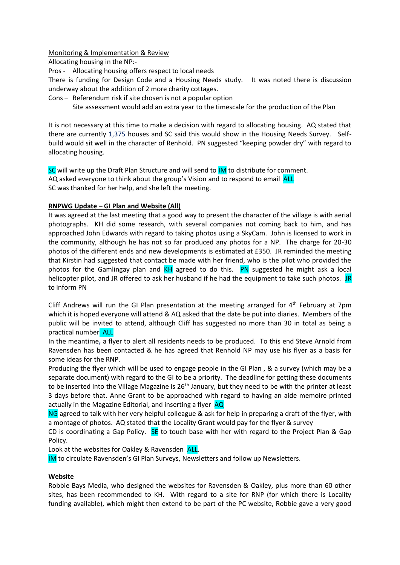## Monitoring & Implementation & Review

Allocating housing in the NP:-

Pros - Allocating housing offers respect to local needs

There is funding for Design Code and a Housing Needs study. It was noted there is discussion underway about the addition of 2 more charity cottages.

Cons – Referendum risk if site chosen is not a popular option

Site assessment would add an extra year to the timescale for the production of the Plan

It is not necessary at this time to make a decision with regard to allocating housing. AQ stated that there are currently 1,375 houses and SC said this would show in the Housing Needs Survey. Selfbuild would sit well in the character of Renhold. PN suggested "keeping powder dry" with regard to allocating housing.

SC will write up the Draft Plan Structure and will send to IM to distribute for comment. AQ asked everyone to think about the group's Vision and to respond to email ALL SC was thanked for her help, and she left the meeting.

## **RNPWG Update – GI Plan and Website (All)**

It was agreed at the last meeting that a good way to present the character of the village is with aerial photographs. KH did some research, with several companies not coming back to him, and has approached John Edwards with regard to taking photos using a SkyCam. John is licensed to work in the community, although he has not so far produced any photos for a NP. The charge for 20-30 photos of the different ends and new developments is estimated at £350. JR reminded the meeting that Kirstin had suggested that contact be made with her friend, who is the pilot who provided the photos for the Gamlingay plan and  $KH$  agreed to do this. PN suggested he might ask a local helicopter pilot, and JR offered to ask her husband if he had the equipment to take such photos. JR to inform PN

Cliff Andrews will run the GI Plan presentation at the meeting arranged for  $4<sup>th</sup>$  February at 7pm which it is hoped everyone will attend & AQ asked that the date be put into diaries. Members of the public will be invited to attend, although Cliff has suggested no more than 30 in total as being a practical number ALL

In the meantime**,** a flyer to alert all residents needs to be produced. To this end Steve Arnold from Ravensden has been contacted & he has agreed that Renhold NP may use his flyer as a basis for some ideas for the RNP.

Producing the flyer which will be used to engage people in the GI Plan , & a survey (which may be a separate document) with regard to the GI to be a priority. The deadline for getting these documents to be inserted into the Village Magazine is  $26<sup>th</sup>$  January, but they need to be with the printer at least 3 days before that. Anne Grant to be approached with regard to having an aide memoire printed actually in the Magazine Editorial, and inserting a flyer AQ

NG agreed to talk with her very helpful colleague & ask for help in preparing a draft of the flyer, with a montage of photos. AQ stated that the Locality Grant would pay for the flyer & survey

CD is coordinating a Gap Policy.  $SE$  to touch base with her with regard to the Project Plan & Gap Policy.

Look at the websites for Oakley & Ravensden ALL.

IM to circulate Ravensden's GI Plan Surveys, Newsletters and follow up Newsletters.

# **Website**

Robbie Bays Media, who designed the websites for Ravensden & Oakley, plus more than 60 other sites, has been recommended to KH. With regard to a site for RNP (for which there is Locality funding available), which might then extend to be part of the PC website, Robbie gave a very good